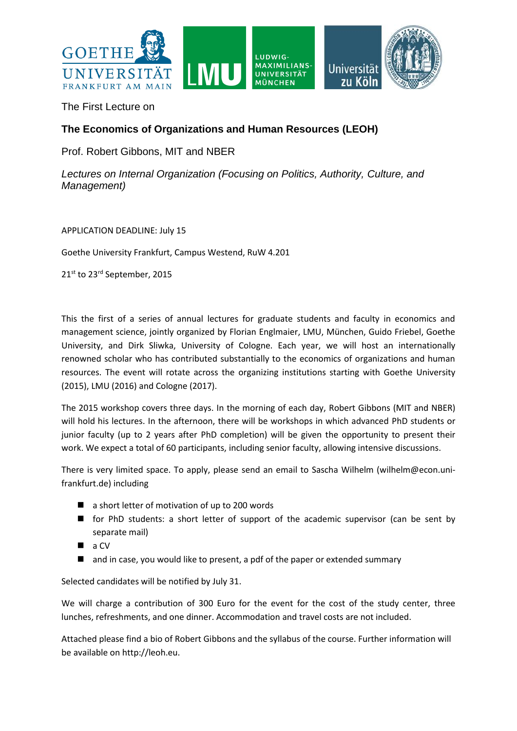

The First Lecture on

# **The Economics of Organizations and Human Resources (LEOH)**

Prof. Robert Gibbons, MIT and NBER

*Lectures on Internal Organization (Focusing on Politics, Authority, Culture, and Management)*

APPLICATION DEADLINE: July 15

Goethe University Frankfurt, Campus Westend, RuW 4.201

21st to 23rd September, 2015

This the first of a series of annual lectures for graduate students and faculty in economics and management science, jointly organized by Florian Englmaier, LMU, München, Guido Friebel, Goethe University, and Dirk Sliwka, University of Cologne. Each year, we will host an internationally renowned scholar who has contributed substantially to the economics of organizations and human resources. The event will rotate across the organizing institutions starting with Goethe University (2015), LMU (2016) and Cologne (2017).

The 2015 workshop covers three days. In the morning of each day, Robert Gibbons (MIT and NBER) will hold his lectures. In the afternoon, there will be workshops in which advanced PhD students or junior faculty (up to 2 years after PhD completion) will be given the opportunity to present their work. We expect a total of 60 participants, including senior faculty, allowing intensive discussions.

There is very limited space. To apply, please send an email to Sascha Wilhelm (wilhelm@econ.unifrankfurt.de) including

- a short letter of motivation of up to 200 words
- **for PhD students: a short letter of support of the academic supervisor (can be sent by** separate mail)
- $\blacksquare$  a CV
- and in case, you would like to present, a pdf of the paper or extended summary

Selected candidates will be notified by July 31.

We will charge a contribution of 300 Euro for the event for the cost of the study center, three lunches, refreshments, and one dinner. Accommodation and travel costs are not included.

Attached please find a bio of Robert Gibbons and the syllabus of the course. Further information will be available on http://leoh.eu.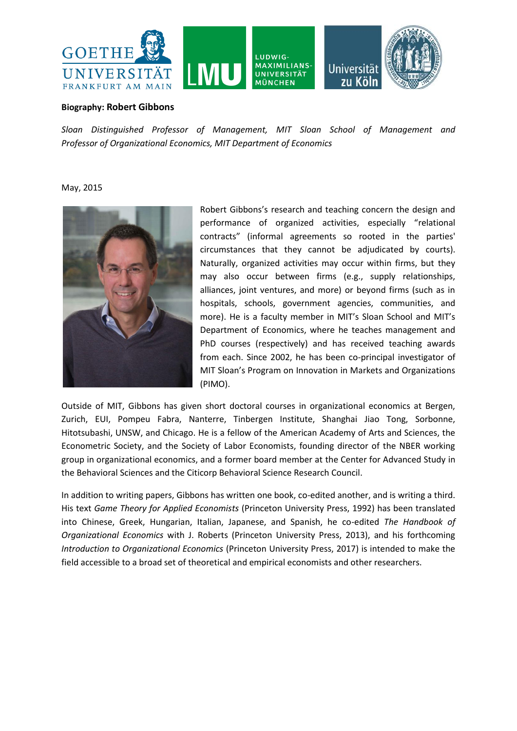

#### **Biography: Robert Gibbons**

*Sloan Distinguished Professor of Management, MIT Sloan School of Management and Professor of Organizational Economics, MIT Department of Economics*

May, 2015



Robert Gibbons's research and teaching concern the design and performance of organized activities, especially "relational contracts" (informal agreements so rooted in the parties' circumstances that they cannot be adjudicated by courts). Naturally, organized activities may occur within firms, but they may also occur between firms (e.g., supply relationships, alliances, joint ventures, and more) or beyond firms (such as in hospitals, schools, government agencies, communities, and more). He is a faculty member in MIT's Sloan School and MIT's Department of Economics, where he teaches management and PhD courses (respectively) and has received teaching awards from each. Since 2002, he has been co-principal investigator of MIT Sloan's Program on Innovation in Markets and Organizations (PIMO).

Outside of MIT, Gibbons has given short doctoral courses in organizational economics at Bergen, Zurich, EUI, Pompeu Fabra, Nanterre, Tinbergen Institute, Shanghai Jiao Tong, Sorbonne, Hitotsubashi, UNSW, and Chicago. He is a fellow of the American Academy of Arts and Sciences, the Econometric Society, and the Society of Labor Economists, founding director of the NBER working group in organizational economics, and a former board member at the Center for Advanced Study in the Behavioral Sciences and the Citicorp Behavioral Science Research Council.

In addition to writing papers, Gibbons has written one book, co-edited another, and is writing a third. His text *Game Theory for Applied Economists* (Princeton University Press, 1992) has been translated into Chinese, Greek, Hungarian, Italian, Japanese, and Spanish, he co-edited *The Handbook of Organizational Economics* with J. Roberts (Princeton University Press, 2013), and his forthcoming *Introduction to Organizational Economics* (Princeton University Press, 2017) is intended to make the field accessible to a broad set of theoretical and empirical economists and other researchers.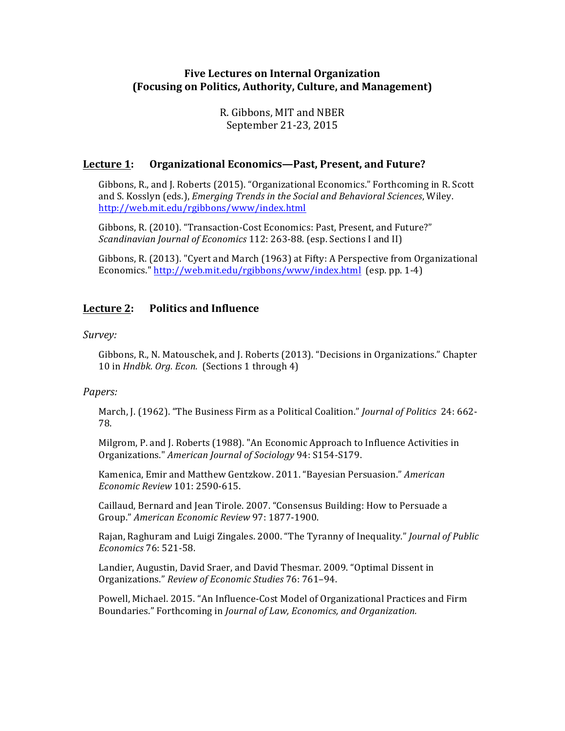# **Five Lectures on Internal Organization (Focusing on Politics, Authority, Culture, and Management)**

R. Gibbons, MIT and NBER September 21-23, 2015

## Lecture 1: Organizational Economics—Past, Present, and Future?

Gibbons, R., and J. Roberts (2015). "Organizational Economics." Forthcoming in R. Scott and S. Kosslyn (eds.), *Emerging Trends in the Social and Behavioral Sciences*, Wiley. http://web.mit.edu/rgibbons/www/index.html

Gibbons, R. (2010). "Transaction-Cost Economics: Past, Present, and Future?" *Scandinavian Journal of Economics* 112: 263-88. (esp. Sections I and II)

Gibbons, R. (2013). "Cyert and March (1963) at Fifty: A Perspective from Organizational Economics." http://web.mit.edu/rgibbons/www/index.html (esp. pp. 1-4)

# Lecture 2: Politics and Influence

*Survey:*

Gibbons, R., N. Matouschek, and J. Roberts (2013). "Decisions in Organizations." Chapter 10 in *Hndbk. Org. Econ.* (Sections 1 through 4)

#### *Papers:*

March, J. (1962). "The Business Firm as a Political Coalition." *Journal of Politics* 24: 662-78.

Milgrom, P. and J. Roberts (1988). "An Economic Approach to Influence Activities in Organizations." *American Journal of Sociology* 94: S154-S179.

Kamenica, Emir and Matthew Gentzkow. 2011. "Bayesian Persuasion." *American Economic Review* 101: 2590-615.

Caillaud, Bernard and Jean Tirole. 2007. "Consensus Building: How to Persuade a Group." *American Economic Review* 97: 1877-1900.

Rajan, Raghuram and Luigi Zingales. 2000. "The Tyranny of Inequality." *Journal of Public Economics* 76: 521-58.

Landier, Augustin, David Sraer, and David Thesmar. 2009. "Optimal Dissent in Organizations." *Review of Economic Studies* 76: 761–94.

Powell, Michael. 2015. "An Influence-Cost Model of Organizational Practices and Firm Boundaries." Forthcoming in *Journal of Law, Economics, and Organization.*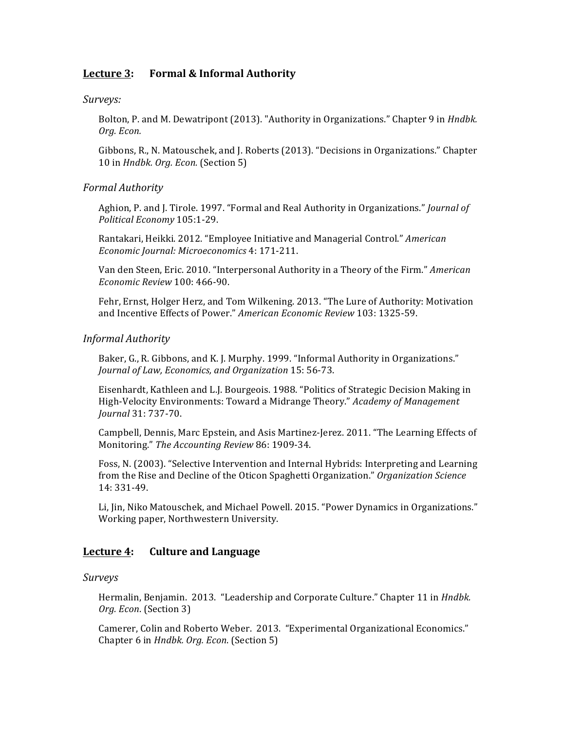# Lecture 3: Formal & Informal Authority

*Surveys:*

Bolton, P. and M. Dewatripont (2013). "Authority in Organizations." Chapter 9 in *Hndbk. Org. Econ.*

Gibbons, R., N. Matouschek, and J. Roberts (2013). "Decisions in Organizations." Chapter 10 in *Hndbk. Org. Econ.* (Section 5)

## *Formal Authority*

Aghion, P. and J. Tirole. 1997. "Formal and Real Authority in Organizations." *Journal of Political Economy* 105:1-29.

Rantakari, Heikki. 2012. "Employee Initiative and Managerial Control." *American Economic Journal: Microeconomics* 4: 171-211.

Van den Steen, Eric. 2010. "Interpersonal Authority in a Theory of the Firm." *American Economic Review* 100: 466-90.

Fehr, Ernst, Holger Herz, and Tom Wilkening. 2013. "The Lure of Authority: Motivation and Incentive Effects of Power." American Economic Review 103: 1325-59.

#### *Informal Authority*

Baker, G., R. Gibbons, and K. J. Murphy. 1999. "Informal Authority in Organizations." *Journal of Law, Economics, and Organization* 15: 56-73.

Eisenhardt, Kathleen and L.J. Bourgeois. 1988. "Politics of Strategic Decision Making in High-Velocity Environments: Toward a Midrange Theory." *Academy of Management Journal* 31: 737-70.

Campbell, Dennis, Marc Epstein, and Asis Martinez-Jerez. 2011. "The Learning Effects of Monitoring." The Accounting Review 86: 1909-34.

Foss, N. (2003). "Selective Intervention and Internal Hybrids: Interpreting and Learning from the Rise and Decline of the Oticon Spaghetti Organization." *Organization Science* 14: 331-49.

Li, Jin, Niko Matouschek, and Michael Powell. 2015. "Power Dynamics in Organizations." Working paper, Northwestern University.

# **Lecture 4:** Culture and Language

*Surveys*

Hermalin, Benjamin. 2013. "Leadership and Corporate Culture." Chapter 11 in *Hndbk.* Org. Econ. (Section 3)

Camerer, Colin and Roberto Weber. 2013. "Experimental Organizational Economics." Chapter 6 in *Hndbk. Org. Econ.* (Section 5)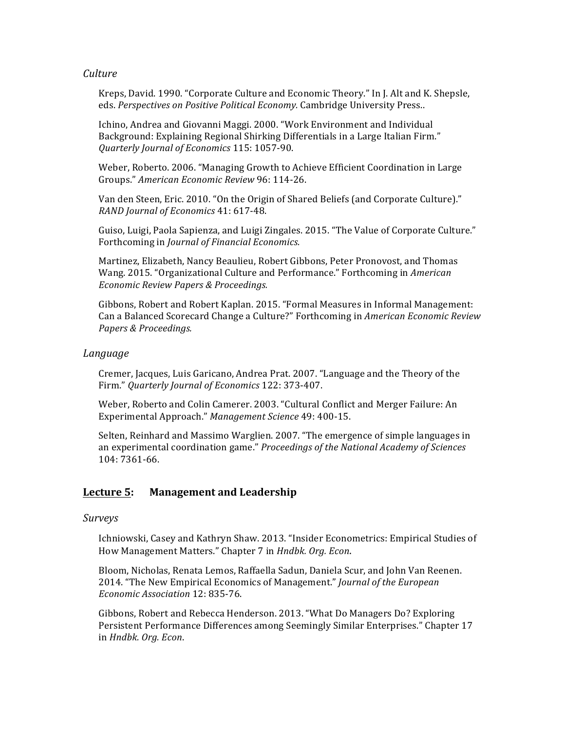## *Culture*

Kreps, David. 1990. "Corporate Culture and Economic Theory." In J. Alt and K. Shepsle, eds. Perspectives on Positive Political *Economy*. Cambridge University Press..

Ichino, Andrea and Giovanni Maggi. 2000. "Work Environment and Individual Background: Explaining Regional Shirking Differentials in a Large Italian Firm." *Quarterly Journal of Economics* 115: 1057-90.

Weber, Roberto. 2006. "Managing Growth to Achieve Efficient Coordination in Large Groups." *American Economic Review* 96: 114-26.

Van den Steen, Eric. 2010. "On the Origin of Shared Beliefs (and Corporate Culture)." *RAND Journal of Economics* 41: 617-48.

Guiso, Luigi, Paola Sapienza, and Luigi Zingales. 2015. "The Value of Corporate Culture." Forthcoming in *Journal of Financial Economics.* 

Martinez, Elizabeth, Nancy Beaulieu, Robert Gibbons, Peter Pronovost, and Thomas Wang. 2015. "Organizational Culture and Performance." Forthcoming in American *Economic Review Papers & Proceedings.*

Gibbons, Robert and Robert Kaplan. 2015. "Formal Measures in Informal Management: Can a Balanced Scorecard Change a Culture?" Forthcoming in *American Economic Review Papers & Proceedings.*

#### *Language*

Cremer, Jacques, Luis Garicano, Andrea Prat. 2007. "Language and the Theory of the Firm." *Quarterly Journal of Economics* 122: 373-407.

Weber, Roberto and Colin Camerer. 2003. "Cultural Conflict and Merger Failure: An Experimental Approach." Management Science 49: 400-15.

Selten, Reinhard and Massimo Warglien. 2007. "The emergence of simple languages in an experimental coordination game." *Proceedings of the National Academy of Sciences* 104: 7361-66.

# Lecture 5: Management and Leadership

*Surveys*

Ichniowski, Casey and Kathryn Shaw. 2013. "Insider Econometrics: Empirical Studies of How Management Matters." Chapter 7 in *Hndbk. Org. Econ.* 

Bloom, Nicholas, Renata Lemos, Raffaella Sadun, Daniela Scur, and John Van Reenen. 2014. "The New Empirical Economics of Management." Journal of the European *Economic Association* 12: 835-76.

Gibbons, Robert and Rebecca Henderson. 2013. "What Do Managers Do? Exploring Persistent Performance Differences among Seemingly Similar Enterprises." Chapter 17 in *Hndbk. Org. Econ*.